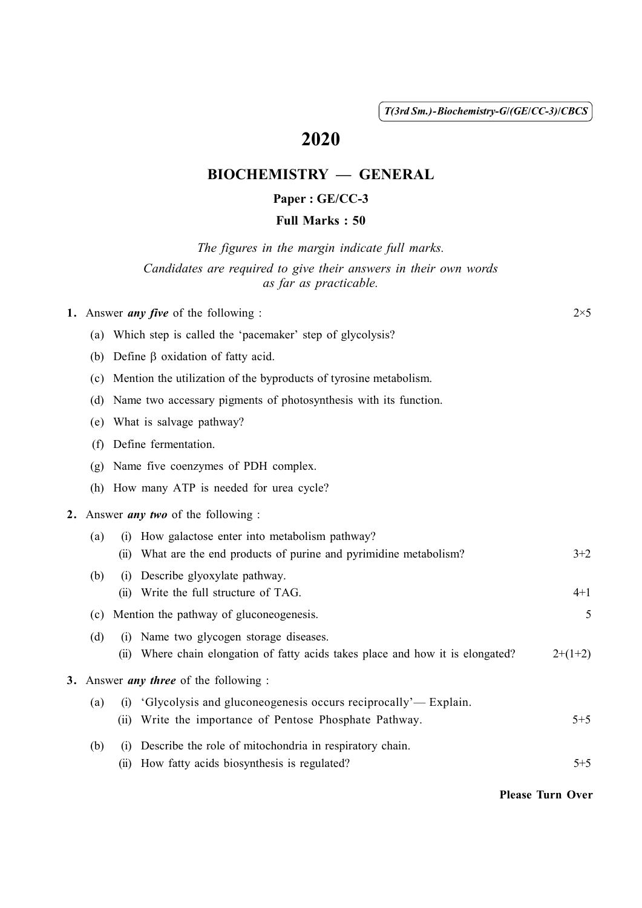( 1 ) *T(3rd Sm.)-Biochemistry-G*/*(GE*/*CC-3)*/*CBCS*

# 2020

# BIOCHEMISTRY — GENERAL

## Paper : GE/CC-3

#### Full Marks : 50

*The figures in the margin indicate full marks. Candidates are required to give their answers in their own words as far as practicable.*

|  | 1. Answer <i>any five</i> of the following : | $2\times5$ |
|--|----------------------------------------------|------------|
|--|----------------------------------------------|------------|

- (a) Which step is called the 'pacemaker' step of glycolysis?
- (b) Define  $\beta$  oxidation of fatty acid.
- (c) Mention the utilization of the byproducts of tyrosine metabolism.
- (d) Name two accessary pigments of photosynthesis with its function.
- (e) What is salvage pathway?
- (f) Define fermentation.
- (g) Name five coenzymes of PDH complex.
- (h) How many ATP is needed for urea cycle?

#### 2. Answer *any two* of the following :

| How galactose enter into metabolism pathway?<br>(a)<br>(1) |      |                                                                            |           |
|------------------------------------------------------------|------|----------------------------------------------------------------------------|-----------|
|                                                            |      | (ii) What are the end products of purine and pyrimidine metabolism?        | $3+2$     |
| (b)                                                        | (1)  | Describe glyoxylate pathway.                                               |           |
|                                                            |      | (ii) Write the full structure of TAG.                                      | $4 + 1$   |
| Mention the pathway of gluconeogenesis.<br>(c)             |      | 5                                                                          |           |
| (d)                                                        | (1)  | Name two glycogen storage diseases.                                        |           |
|                                                            | (11) | Where chain elongation of fatty acids takes place and how it is elongated? | $2+(1+2)$ |
| 3. Answer <i>any three</i> of the following :              |      |                                                                            |           |
| (a)                                                        | (1)  | 'Glycolysis and gluconeogenesis occurs reciprocally'— Explain.             |           |
|                                                            |      | (ii) Write the importance of Pentose Phosphate Pathway.                    | $5 + 5$   |
| (b)                                                        | (1)  | Describe the role of mitochondria in respiratory chain.                    |           |
|                                                            | (11) | How fatty acids biosynthesis is regulated?                                 | $5 + 5$   |

Please Turn Over